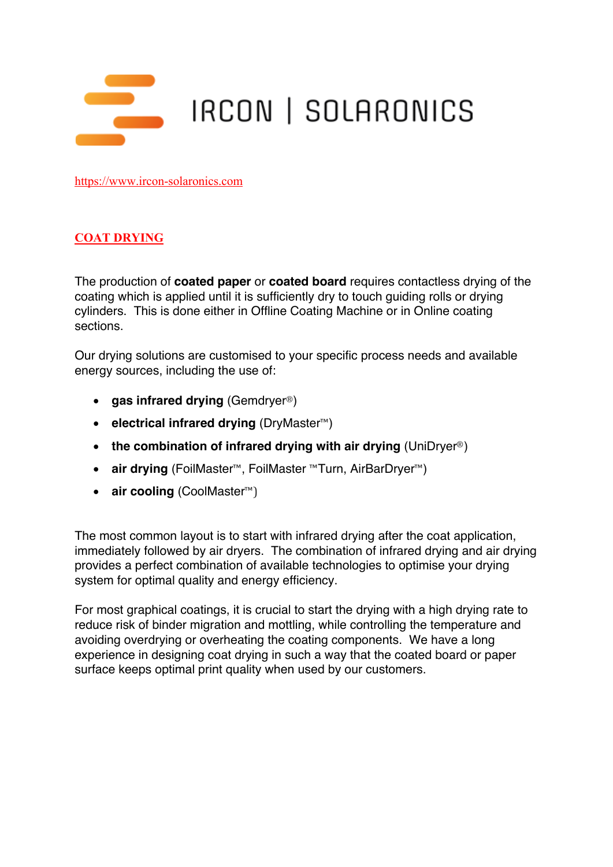

https://www.ircon-solaronics.com

## **COAT DRYING**

The production of **coated paper** or **coated board** requires contactless drying of the coating which is applied until it is sufficiently dry to touch guiding rolls or drying cylinders. This is done either in Offline Coating Machine or in Online coating sections.

Our drying solutions are customised to your specific process needs and available energy sources, including the use of:

- **gas infrared drying** (Gemdryer®)
- **electrical infrared drying** (DryMaster™)
- **the combination of infrared drying with air drying** (UniDryer®)
- **air drying** (FoilMaster™, FoilMaster ™Turn, AirBarDryer™)
- **air cooling** (CoolMaster™)

The most common layout is to start with infrared drying after the coat application, immediately followed by air dryers. The combination of infrared drying and air drying provides a perfect combination of available technologies to optimise your drying system for optimal quality and energy efficiency.

For most graphical coatings, it is crucial to start the drying with a high drying rate to reduce risk of binder migration and mottling, while controlling the temperature and avoiding overdrying or overheating the coating components. We have a long experience in designing coat drying in such a way that the coated board or paper surface keeps optimal print quality when used by our customers.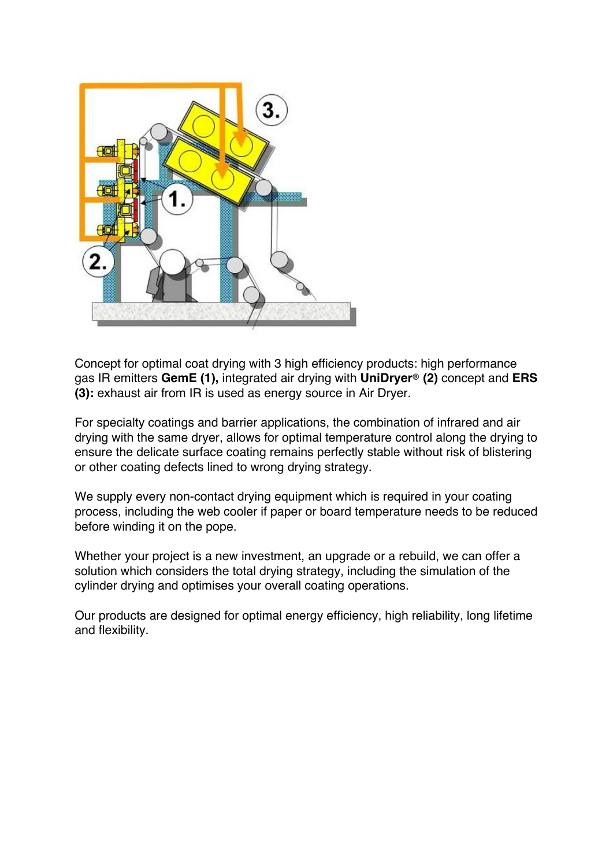

Concept for optimal coat drying with 3 high efficiency products: high performance gas IR emitters **GemE (1),** integrated air drying with **UniDryer® (2)** concept and **ERS (3):** exhaust air from IR is used as energy source in Air Dryer.

For specialty coatings and barrier applications, the combination of infrared and air drying with the same dryer, allows for optimal temperature control along the drying to ensure the delicate surface coating remains perfectly stable without risk of blistering or other coating defects lined to wrong drying strategy.

We supply every non-contact drying equipment which is required in your coating process, including the web cooler if paper or board temperature needs to be reduced before winding it on the pope.

Whether your project is a new investment, an upgrade or a rebuild, we can offer a solution which considers the total drying strategy, including the simulation of the cylinder drying and optimises your overall coating operations.

Our products are designed for optimal energy efficiency, high reliability, long lifetime and flexibility.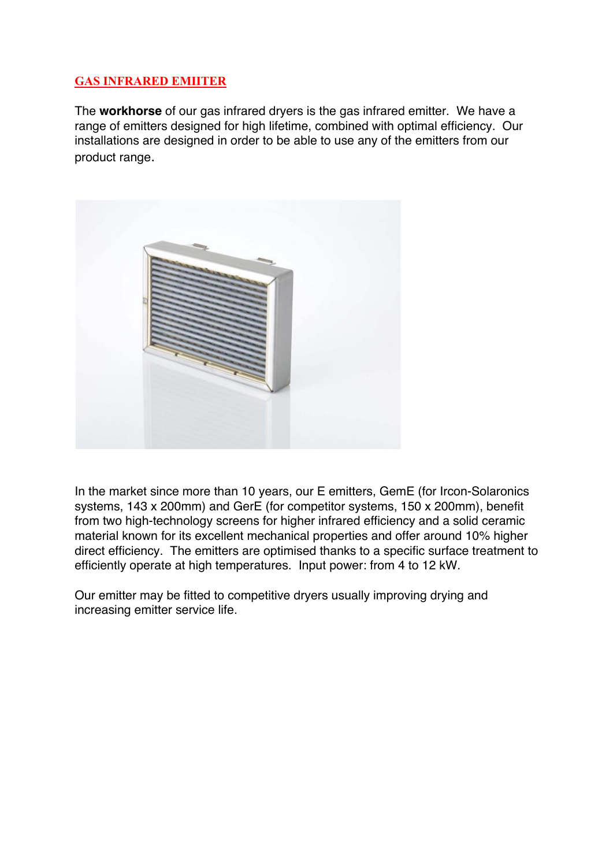## **GAS INFRARED EMIITER**

The **workhorse** of our gas infrared dryers is the gas infrared emitter. We have a range of emitters designed for high lifetime, combined with optimal efficiency. Our installations are designed in order to be able to use any of the emitters from our product range.



In the market since more than 10 years, our E emitters, GemE (for Ircon-Solaronics systems, 143 x 200mm) and GerE (for competitor systems, 150 x 200mm), benefit from two high-technology screens for higher infrared efficiency and a solid ceramic material known for its excellent mechanical properties and offer around 10% higher direct efficiency. The emitters are optimised thanks to a specific surface treatment to efficiently operate at high temperatures. Input power: from 4 to 12 kW.

Our emitter may be fitted to competitive dryers usually improving drying and increasing emitter service life.